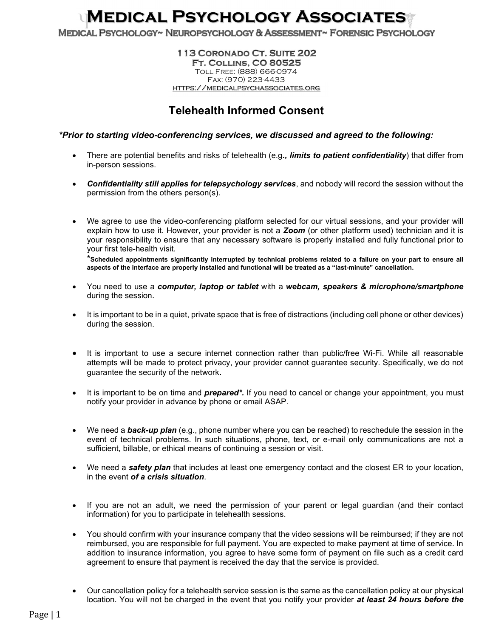## Medical Psychology Associates

MEDICAL PSYCHOLOGY~ NEUROPSYCHOLOGY & ASSESSMENT~ FORENSIC PSYCHOLOGY

## 113 CORONADO CT. SUITE 202 **FT. COLLINS, CO 80525** Toll Free: (888) 666-0974 Fax: (970) 223-4433 https://medicalpsychassociates.org

## Telehealth Informed Consent

## \*Prior to starting video-conferencing services, we discussed and agreed to the following:

- There are potential benefits and risks of telehealth (e.g., limits to patient confidentiality) that differ from in-person sessions.
- Confidentiality still applies for telepsychology services, and nobody will record the session without the permission from the others person(s).
- We agree to use the video-conferencing platform selected for our virtual sessions, and your provider will explain how to use it. However, your provider is not a **Zoom** (or other platform used) technician and it is your responsibility to ensure that any necessary software is properly installed and fully functional prior to your first tele-health visit.

\*Scheduled appointments significantly interrupted by technical problems related to a failure on your part to ensure all aspects of the interface are properly installed and functional will be treated as a "last-minute" cancellation.

- You need to use a computer, laptop or tablet with a webcam, speakers & microphone/smartphone during the session.
- It is important to be in a quiet, private space that is free of distractions (including cell phone or other devices) during the session.
- It is important to use a secure internet connection rather than public/free Wi-Fi. While all reasonable attempts will be made to protect privacy, your provider cannot guarantee security. Specifically, we do not guarantee the security of the network.
- It is important to be on time and **prepared<sup>\*</sup>**. If you need to cancel or change your appointment, you must notify your provider in advance by phone or email ASAP.
- We need a **back-up plan** (e.g., phone number where you can be reached) to reschedule the session in the event of technical problems. In such situations, phone, text, or e-mail only communications are not a sufficient, billable, or ethical means of continuing a session or visit.
- We need a **safety plan** that includes at least one emergency contact and the closest ER to your location, in the event of a crisis situation.
- If you are not an adult, we need the permission of your parent or legal guardian (and their contact information) for you to participate in telehealth sessions.
- You should confirm with your insurance company that the video sessions will be reimbursed; if they are not reimbursed, you are responsible for full payment. You are expected to make payment at time of service. In addition to insurance information, you agree to have some form of payment on file such as a credit card agreement to ensure that payment is received the day that the service is provided.
- Our cancellation policy for a telehealth service session is the same as the cancellation policy at our physical location. You will not be charged in the event that you notify your provider at least 24 hours before the